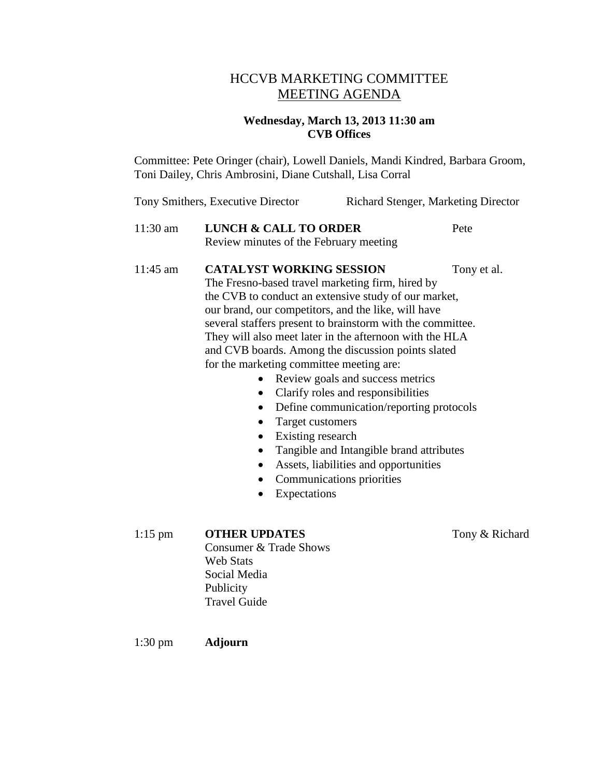### HCCVB MARKETING COMMITTEE MEETING AGENDA

#### **Wednesday, March 13, 2013 11:30 am CVB Offices**

Committee: Pete Oringer (chair), Lowell Daniels, Mandi Kindred, Barbara Groom, Toni Dailey, Chris Ambrosini, Diane Cutshall, Lisa Corral

Tony Smithers, Executive Director Richard Stenger, Marketing Director

### 11:30 am **LUNCH & CALL TO ORDER** Pete Review minutes of the February meeting

#### 11:45 am **CATALYST WORKING SESSION** Tony et al.

The Fresno-based travel marketing firm, hired by the CVB to conduct an extensive study of our market, our brand, our competitors, and the like, will have several staffers present to brainstorm with the committee. They will also meet later in the afternoon with the HLA and CVB boards. Among the discussion points slated for the marketing committee meeting are:

- Review goals and success metrics
- Clarify roles and responsibilities
- Define communication/reporting protocols
- Target customers
- Existing research
- Tangible and Intangible brand attributes
- Assets, liabilities and opportunities
- Communications priorities
- Expectations

1:15 pm **OTHER UPDATES** Tony & Richard

Consumer & Trade Shows Web Stats Social Media Publicity Travel Guide

1:30 pm **Adjourn**